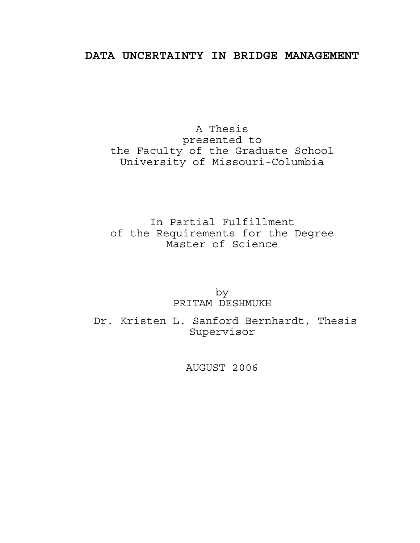## **DATA UNCERTAINTY IN BRIDGE MANAGEMENT**

A Thesis presented to the Faculty of the Graduate School University of Missouri-Columbia

In Partial Fulfillment of the Requirements for the Degree Master of Science

> by PRITAM DESHMUKH

 Dr. Kristen L. Sanford Bernhardt, Thesis Supervisor

AUGUST 2006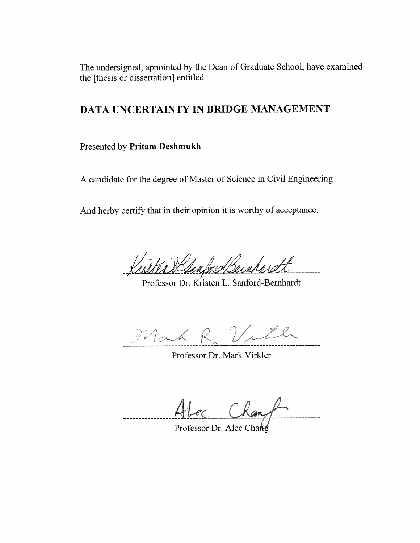The undersigned, appointed by the Dean of Graduate School, have examined the [thesis or dissertation] entitled

# DATA UNCERTAINTY IN BRIDGE MANAGEMENT

Presented by Pritam Deshmukh

A candidate for the degree of Master of Science in Civil Engineering

And herby certify that in their opinion it is worthy of acceptance.

entord Beinhard

Professor Dr. Kristen L. Sanford-Bernhardt

Mah

Professor Dr. Mark Virkler

-----------

Professor Dr. Alec Chang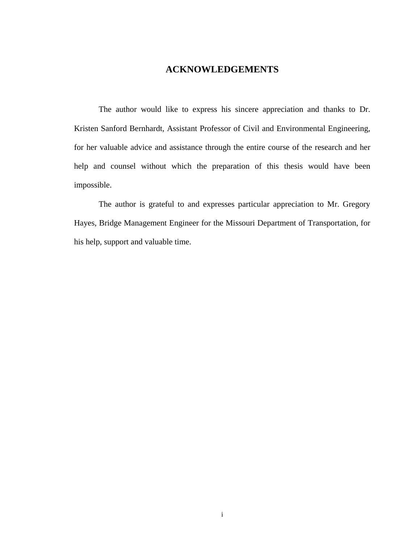### **ACKNOWLEDGEMENTS**

The author would like to express his sincere appreciation and thanks to Dr. Kristen Sanford Bernhardt, Assistant Professor of Civil and Environmental Engineering, for her valuable advice and assistance through the entire course of the research and her help and counsel without which the preparation of this thesis would have been impossible.

 The author is grateful to and expresses particular appreciation to Mr. Gregory Hayes, Bridge Management Engineer for the Missouri Department of Transportation, for his help, support and valuable time.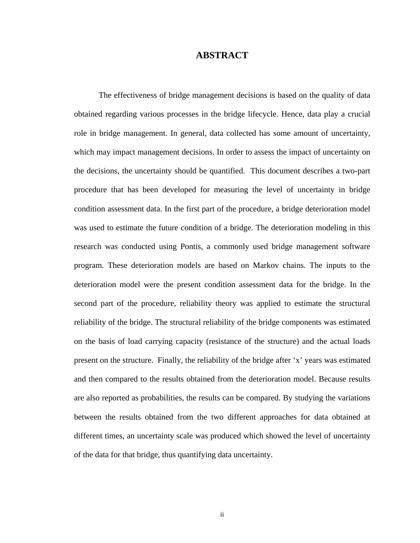#### **ABSTRACT**

The effectiveness of bridge management decisions is based on the quality of data obtained regarding various processes in the bridge lifecycle. Hence, data play a crucial role in bridge management. In general, data collected has some amount of uncertainty, which may impact management decisions. In order to assess the impact of uncertainty on the decisions, the uncertainty should be quantified. This document describes a two-part procedure that has been developed for measuring the level of uncertainty in bridge condition assessment data. In the first part of the procedure, a bridge deterioration model was used to estimate the future condition of a bridge. The deterioration modeling in this research was conducted using Pontis, a commonly used bridge management software program. These deterioration models are based on Markov chains. The inputs to the deterioration model were the present condition assessment data for the bridge. In the second part of the procedure, reliability theory was applied to estimate the structural reliability of the bridge. The structural reliability of the bridge components was estimated on the basis of load carrying capacity (resistance of the structure) and the actual loads present on the structure. Finally, the reliability of the bridge after 'x' years was estimated and then compared to the results obtained from the deterioration model. Because results are also reported as probabilities, the results can be compared. By studying the variations between the results obtained from the two different approaches for data obtained at different times, an uncertainty scale was produced which showed the level of uncertainty of the data for that bridge, thus quantifying data uncertainty.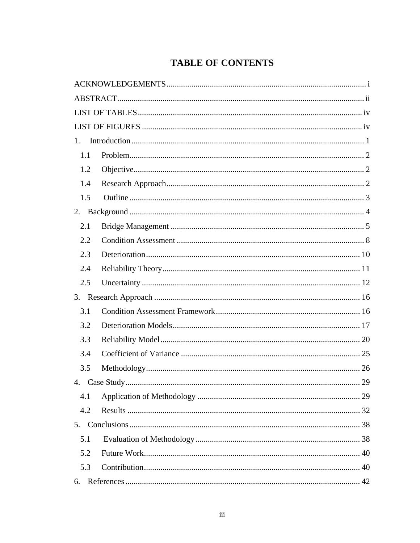# **TABLE OF CONTENTS**

| 1.  |  |
|-----|--|
| 1.1 |  |
| 1.2 |  |
| 1.4 |  |
| 1.5 |  |
|     |  |
| 2.1 |  |
| 2.2 |  |
| 2.3 |  |
| 2.4 |  |
| 2.5 |  |
|     |  |
| 3.1 |  |
| 3.2 |  |
| 3.3 |  |
| 3.4 |  |
| 3.5 |  |
|     |  |
| 4.1 |  |
| 4.2 |  |
|     |  |
| 5.1 |  |
| 5.2 |  |
| 5.3 |  |
| 6.  |  |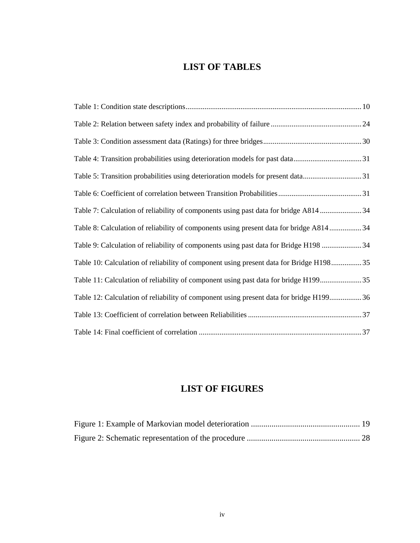## **LIST OF TABLES**

| Table 5: Transition probabilities using deterioration models for present data31         |
|-----------------------------------------------------------------------------------------|
|                                                                                         |
| Table 7: Calculation of reliability of components using past data for bridge A81434     |
| Table 8: Calculation of reliability of components using present data for bridge A81434  |
| Table 9: Calculation of reliability of components using past data for Bridge H198  34   |
| Table 10: Calculation of reliability of component using present data for Bridge H198 35 |
| Table 11: Calculation of reliability of component using past data for bridge H19935     |
| Table 12: Calculation of reliability of component using present data for bridge H19936  |
|                                                                                         |
|                                                                                         |

# **LIST OF FIGURES**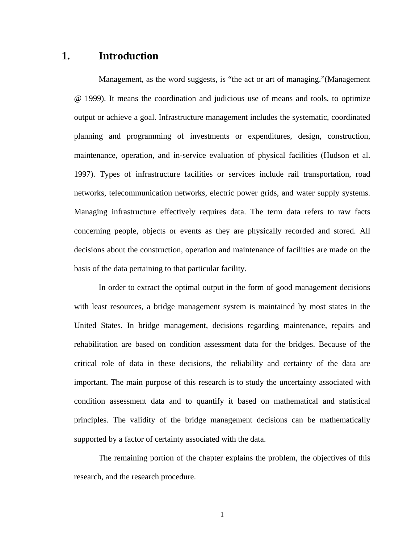### **1. Introduction**

Management, as the word suggests, is "the act or art of managing."(Management @ 1999). It means the coordination and judicious use of means and tools, to optimize output or achieve a goal. Infrastructure management includes the systematic, coordinated planning and programming of investments or expenditures, design, construction, maintenance, operation, and in-service evaluation of physical facilities (Hudson et al. 1997). Types of infrastructure facilities or services include rail transportation, road networks, telecommunication networks, electric power grids, and water supply systems. Managing infrastructure effectively requires data. The term data refers to raw facts concerning people, objects or events as they are physically recorded and stored. All decisions about the construction, operation and maintenance of facilities are made on the basis of the data pertaining to that particular facility.

 In order to extract the optimal output in the form of good management decisions with least resources, a bridge management system is maintained by most states in the United States. In bridge management, decisions regarding maintenance, repairs and rehabilitation are based on condition assessment data for the bridges. Because of the critical role of data in these decisions, the reliability and certainty of the data are important. The main purpose of this research is to study the uncertainty associated with condition assessment data and to quantify it based on mathematical and statistical principles. The validity of the bridge management decisions can be mathematically supported by a factor of certainty associated with the data.

The remaining portion of the chapter explains the problem, the objectives of this research, and the research procedure.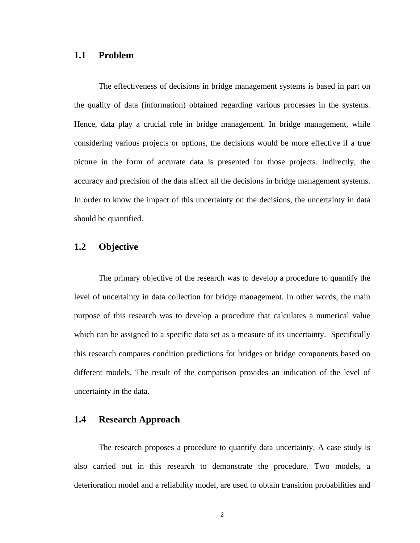#### **1.1 Problem**

The effectiveness of decisions in bridge management systems is based in part on the quality of data (information) obtained regarding various processes in the systems. Hence, data play a crucial role in bridge management. In bridge management, while considering various projects or options, the decisions would be more effective if a true picture in the form of accurate data is presented for those projects. Indirectly, the accuracy and precision of the data affect all the decisions in bridge management systems. In order to know the impact of this uncertainty on the decisions, the uncertainty in data should be quantified.

### **1.2 Objective**

The primary objective of the research was to develop a procedure to quantify the level of uncertainty in data collection for bridge management. In other words, the main purpose of this research was to develop a procedure that calculates a numerical value which can be assigned to a specific data set as a measure of its uncertainty. Specifically this research compares condition predictions for bridges or bridge components based on different models. The result of the comparison provides an indication of the level of uncertainty in the data.

### **1.4 Research Approach**

The research proposes a procedure to quantify data uncertainty. A case study is also carried out in this research to demonstrate the procedure. Two models, a deterioration model and a reliability model, are used to obtain transition probabilities and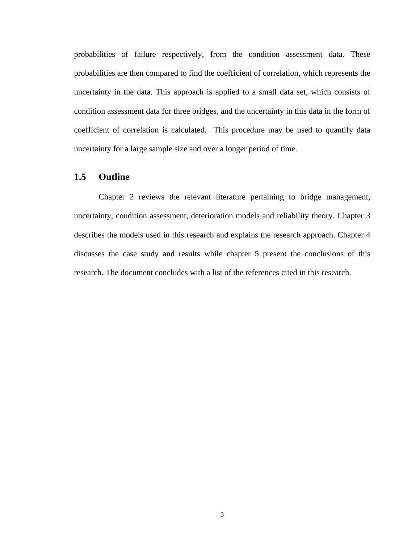probabilities of failure respectively, from the condition assessment data. These probabilities are then compared to find the coefficient of correlation, which represents the uncertainty in the data. This approach is applied to a small data set, which consists of condition assessment data for three bridges, and the uncertainty in this data in the form of coefficient of correlation is calculated. This procedure may be used to quantify data uncertainty for a large sample size and over a longer period of time.

#### **1.5 Outline**

Chapter 2 reviews the relevant literature pertaining to bridge management, uncertainty, condition assessment, deterioration models and reliability theory. Chapter 3 describes the models used in this research and explains the research approach. Chapter 4 discusses the case study and results while chapter 5 present the conclusions of this research. The document concludes with a list of the references cited in this research.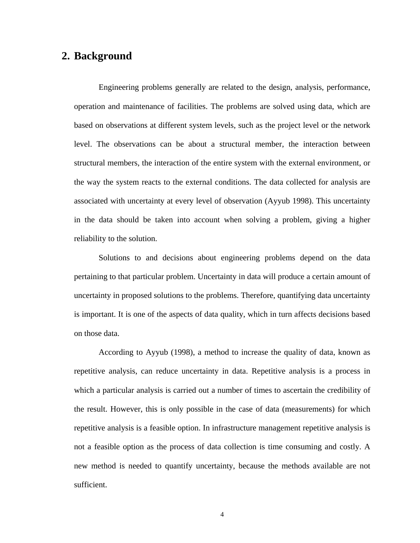### **2. Background**

Engineering problems generally are related to the design, analysis, performance, operation and maintenance of facilities. The problems are solved using data, which are based on observations at different system levels, such as the project level or the network level. The observations can be about a structural member, the interaction between structural members, the interaction of the entire system with the external environment, or the way the system reacts to the external conditions. The data collected for analysis are associated with uncertainty at every level of observation (Ayyub 1998). This uncertainty in the data should be taken into account when solving a problem, giving a higher reliability to the solution.

Solutions to and decisions about engineering problems depend on the data pertaining to that particular problem. Uncertainty in data will produce a certain amount of uncertainty in proposed solutions to the problems. Therefore, quantifying data uncertainty is important. It is one of the aspects of data quality, which in turn affects decisions based on those data.

According to Ayyub (1998), a method to increase the quality of data, known as repetitive analysis, can reduce uncertainty in data. Repetitive analysis is a process in which a particular analysis is carried out a number of times to ascertain the credibility of the result. However, this is only possible in the case of data (measurements) for which repetitive analysis is a feasible option. In infrastructure management repetitive analysis is not a feasible option as the process of data collection is time consuming and costly. A new method is needed to quantify uncertainty, because the methods available are not sufficient.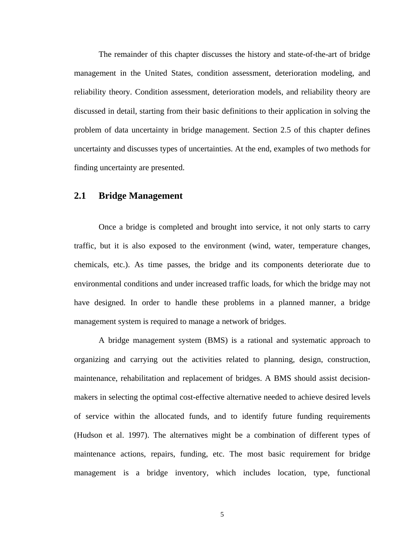The remainder of this chapter discusses the history and state-of-the-art of bridge management in the United States, condition assessment, deterioration modeling, and reliability theory. Condition assessment, deterioration models, and reliability theory are discussed in detail, starting from their basic definitions to their application in solving the problem of data uncertainty in bridge management. Section 2.5 of this chapter defines uncertainty and discusses types of uncertainties. At the end, examples of two methods for finding uncertainty are presented.

#### **2.1 Bridge Management**

Once a bridge is completed and brought into service, it not only starts to carry traffic, but it is also exposed to the environment (wind, water, temperature changes, chemicals, etc.). As time passes, the bridge and its components deteriorate due to environmental conditions and under increased traffic loads, for which the bridge may not have designed. In order to handle these problems in a planned manner, a bridge management system is required to manage a network of bridges.

A bridge management system (BMS) is a rational and systematic approach to organizing and carrying out the activities related to planning, design, construction, maintenance, rehabilitation and replacement of bridges. A BMS should assist decisionmakers in selecting the optimal cost-effective alternative needed to achieve desired levels of service within the allocated funds, and to identify future funding requirements (Hudson et al. 1997). The alternatives might be a combination of different types of maintenance actions, repairs, funding, etc. The most basic requirement for bridge management is a bridge inventory, which includes location, type, functional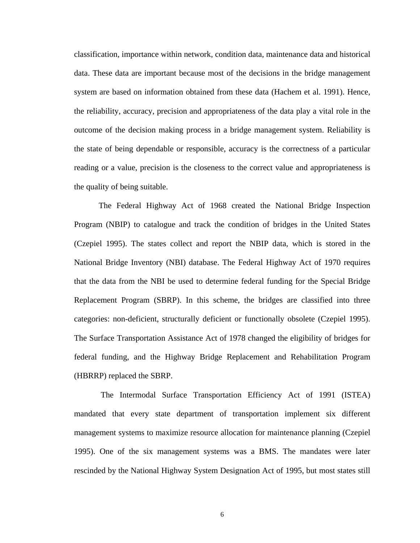classification, importance within network, condition data, maintenance data and historical data. These data are important because most of the decisions in the bridge management system are based on information obtained from these data (Hachem et al. 1991). Hence, the reliability, accuracy, precision and appropriateness of the data play a vital role in the outcome of the decision making process in a bridge management system. Reliability is the state of being dependable or responsible, accuracy is the correctness of a particular reading or a value, precision is the closeness to the correct value and appropriateness is the quality of being suitable.

The Federal Highway Act of 1968 created the National Bridge Inspection Program (NBIP) to catalogue and track the condition of bridges in the United States (Czepiel 1995). The states collect and report the NBIP data, which is stored in the National Bridge Inventory (NBI) database. The Federal Highway Act of 1970 requires that the data from the NBI be used to determine federal funding for the Special Bridge Replacement Program (SBRP). In this scheme, the bridges are classified into three categories: non-deficient, structurally deficient or functionally obsolete (Czepiel 1995). The Surface Transportation Assistance Act of 1978 changed the eligibility of bridges for federal funding, and the Highway Bridge Replacement and Rehabilitation Program (HBRRP) replaced the SBRP.

 The Intermodal Surface Transportation Efficiency Act of 1991 (ISTEA) mandated that every state department of transportation implement six different management systems to maximize resource allocation for maintenance planning (Czepiel 1995). One of the six management systems was a BMS. The mandates were later rescinded by the National Highway System Designation Act of 1995, but most states still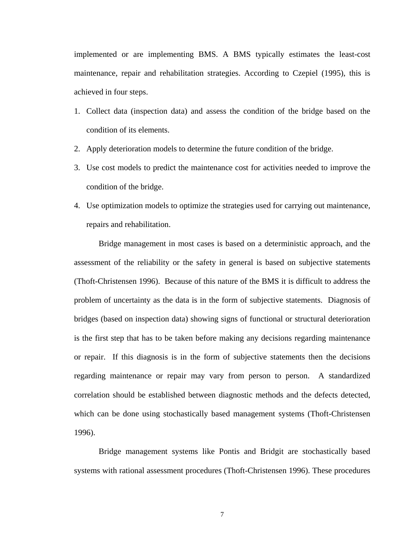implemented or are implementing BMS. A BMS typically estimates the least-cost maintenance, repair and rehabilitation strategies. According to Czepiel (1995), this is achieved in four steps.

- 1. Collect data (inspection data) and assess the condition of the bridge based on the condition of its elements.
- 2. Apply deterioration models to determine the future condition of the bridge.
- 3. Use cost models to predict the maintenance cost for activities needed to improve the condition of the bridge.
- 4. Use optimization models to optimize the strategies used for carrying out maintenance, repairs and rehabilitation.

Bridge management in most cases is based on a deterministic approach, and the assessment of the reliability or the safety in general is based on subjective statements (Thoft-Christensen 1996). Because of this nature of the BMS it is difficult to address the problem of uncertainty as the data is in the form of subjective statements. Diagnosis of bridges (based on inspection data) showing signs of functional or structural deterioration is the first step that has to be taken before making any decisions regarding maintenance or repair. If this diagnosis is in the form of subjective statements then the decisions regarding maintenance or repair may vary from person to person. A standardized correlation should be established between diagnostic methods and the defects detected, which can be done using stochastically based management systems (Thoft-Christensen 1996).

 Bridge management systems like Pontis and Bridgit are stochastically based systems with rational assessment procedures (Thoft-Christensen 1996). These procedures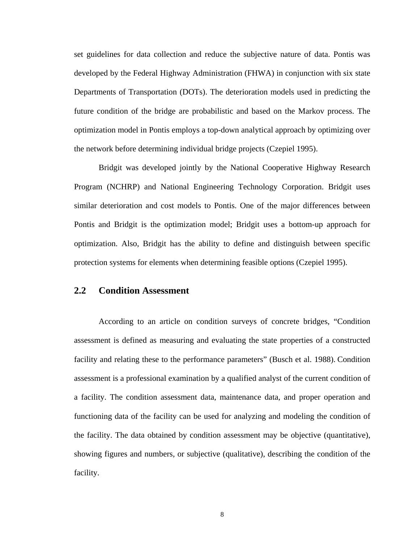set guidelines for data collection and reduce the subjective nature of data. Pontis was developed by the Federal Highway Administration (FHWA) in conjunction with six state Departments of Transportation (DOTs). The deterioration models used in predicting the future condition of the bridge are probabilistic and based on the Markov process. The optimization model in Pontis employs a top-down analytical approach by optimizing over the network before determining individual bridge projects (Czepiel 1995).

 Bridgit was developed jointly by the National Cooperative Highway Research Program (NCHRP) and National Engineering Technology Corporation. Bridgit uses similar deterioration and cost models to Pontis. One of the major differences between Pontis and Bridgit is the optimization model; Bridgit uses a bottom-up approach for optimization. Also, Bridgit has the ability to define and distinguish between specific protection systems for elements when determining feasible options (Czepiel 1995).

#### **2.2 Condition Assessment**

According to an article on condition surveys of concrete bridges, "Condition assessment is defined as measuring and evaluating the state properties of a constructed facility and relating these to the performance parameters" (Busch et al. 1988). Condition assessment is a professional examination by a qualified analyst of the current condition of a facility. The condition assessment data, maintenance data, and proper operation and functioning data of the facility can be used for analyzing and modeling the condition of the facility. The data obtained by condition assessment may be objective (quantitative), showing figures and numbers, or subjective (qualitative), describing the condition of the facility.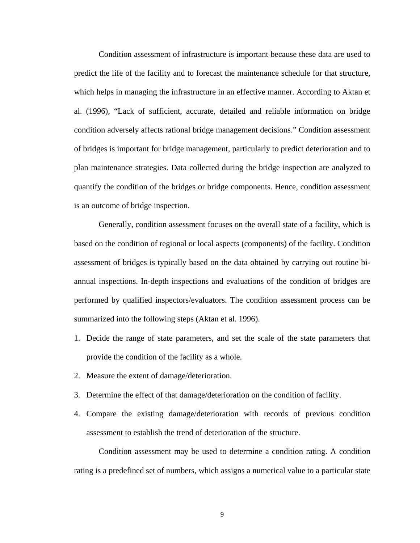Condition assessment of infrastructure is important because these data are used to predict the life of the facility and to forecast the maintenance schedule for that structure, which helps in managing the infrastructure in an effective manner. According to Aktan et al. (1996), "Lack of sufficient, accurate, detailed and reliable information on bridge condition adversely affects rational bridge management decisions." Condition assessment of bridges is important for bridge management, particularly to predict deterioration and to plan maintenance strategies. Data collected during the bridge inspection are analyzed to quantify the condition of the bridges or bridge components. Hence, condition assessment is an outcome of bridge inspection.

Generally, condition assessment focuses on the overall state of a facility, which is based on the condition of regional or local aspects (components) of the facility. Condition assessment of bridges is typically based on the data obtained by carrying out routine biannual inspections. In-depth inspections and evaluations of the condition of bridges are performed by qualified inspectors/evaluators. The condition assessment process can be summarized into the following steps (Aktan et al. 1996).

- 1. Decide the range of state parameters, and set the scale of the state parameters that provide the condition of the facility as a whole.
- 2. Measure the extent of damage/deterioration.
- 3. Determine the effect of that damage/deterioration on the condition of facility.
- 4. Compare the existing damage/deterioration with records of previous condition assessment to establish the trend of deterioration of the structure.

Condition assessment may be used to determine a condition rating. A condition rating is a predefined set of numbers, which assigns a numerical value to a particular state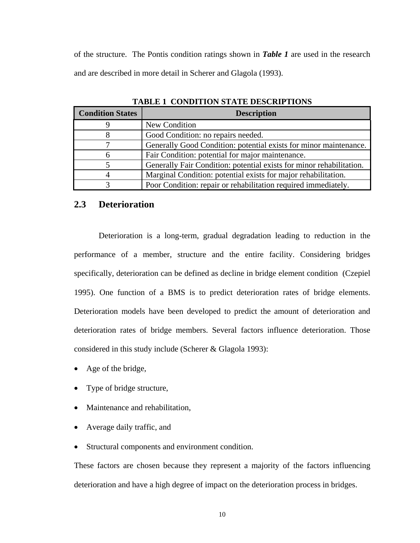of the structure. The Pontis condition ratings shown in *Table 1* are used in the research and are described in more detail in Scherer and Glagola (1993).

| <b>Condition States</b> | <b>Description</b>                                                   |
|-------------------------|----------------------------------------------------------------------|
| 9                       | New Condition                                                        |
| 8                       | Good Condition: no repairs needed.                                   |
|                         | Generally Good Condition: potential exists for minor maintenance.    |
| 6                       | Fair Condition: potential for major maintenance.                     |
|                         | Generally Fair Condition: potential exists for minor rehabilitation. |
| 4                       | Marginal Condition: potential exists for major rehabilitation.       |
| 3                       | Poor Condition: repair or rehabilitation required immediately.       |

**TABLE 1 CONDITION STATE DESCRIPTIONS** 

#### **2.3 Deterioration**

Deterioration is a long-term, gradual degradation leading to reduction in the performance of a member, structure and the entire facility. Considering bridges specifically, deterioration can be defined as decline in bridge element condition (Czepiel 1995). One function of a BMS is to predict deterioration rates of bridge elements. Deterioration models have been developed to predict the amount of deterioration and deterioration rates of bridge members. Several factors influence deterioration. Those considered in this study include (Scherer & Glagola 1993):

- Age of the bridge,
- Type of bridge structure,
- Maintenance and rehabilitation,
- Average daily traffic, and
- Structural components and environment condition.

These factors are chosen because they represent a majority of the factors influencing deterioration and have a high degree of impact on the deterioration process in bridges.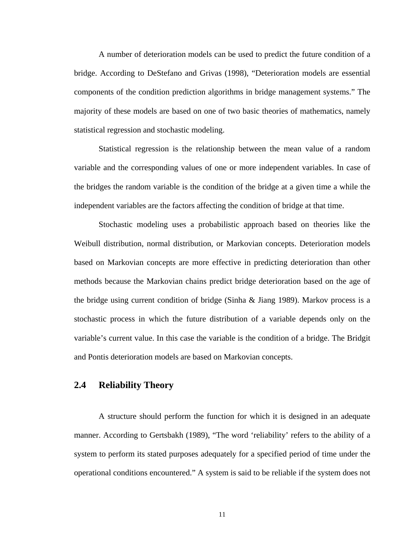A number of deterioration models can be used to predict the future condition of a bridge. According to DeStefano and Grivas (1998), "Deterioration models are essential components of the condition prediction algorithms in bridge management systems." The majority of these models are based on one of two basic theories of mathematics, namely statistical regression and stochastic modeling.

Statistical regression is the relationship between the mean value of a random variable and the corresponding values of one or more independent variables. In case of the bridges the random variable is the condition of the bridge at a given time a while the independent variables are the factors affecting the condition of bridge at that time.

 Stochastic modeling uses a probabilistic approach based on theories like the Weibull distribution, normal distribution, or Markovian concepts. Deterioration models based on Markovian concepts are more effective in predicting deterioration than other methods because the Markovian chains predict bridge deterioration based on the age of the bridge using current condition of bridge (Sinha & Jiang 1989). Markov process is a stochastic process in which the future distribution of a variable depends only on the variable's current value. In this case the variable is the condition of a bridge. The Bridgit and Pontis deterioration models are based on Markovian concepts.

### **2.4 Reliability Theory**

A structure should perform the function for which it is designed in an adequate manner. According to Gertsbakh (1989), "The word 'reliability' refers to the ability of a system to perform its stated purposes adequately for a specified period of time under the operational conditions encountered." A system is said to be reliable if the system does not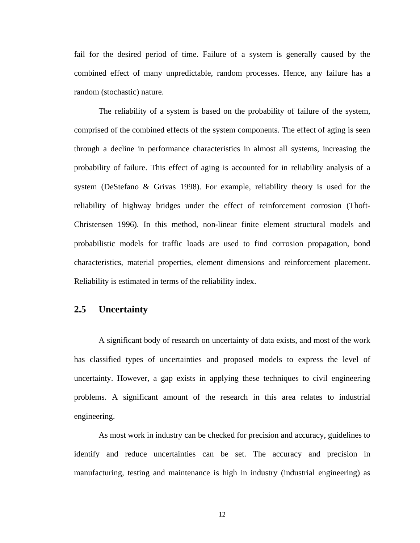fail for the desired period of time. Failure of a system is generally caused by the combined effect of many unpredictable, random processes. Hence, any failure has a random (stochastic) nature.

The reliability of a system is based on the probability of failure of the system, comprised of the combined effects of the system components. The effect of aging is seen through a decline in performance characteristics in almost all systems, increasing the probability of failure. This effect of aging is accounted for in reliability analysis of a system (DeStefano & Grivas 1998). For example, reliability theory is used for the reliability of highway bridges under the effect of reinforcement corrosion (Thoft-Christensen 1996). In this method, non-linear finite element structural models and probabilistic models for traffic loads are used to find corrosion propagation, bond characteristics, material properties, element dimensions and reinforcement placement. Reliability is estimated in terms of the reliability index.

#### **2.5 Uncertainty**

A significant body of research on uncertainty of data exists, and most of the work has classified types of uncertainties and proposed models to express the level of uncertainty. However, a gap exists in applying these techniques to civil engineering problems. A significant amount of the research in this area relates to industrial engineering.

As most work in industry can be checked for precision and accuracy, guidelines to identify and reduce uncertainties can be set. The accuracy and precision in manufacturing, testing and maintenance is high in industry (industrial engineering) as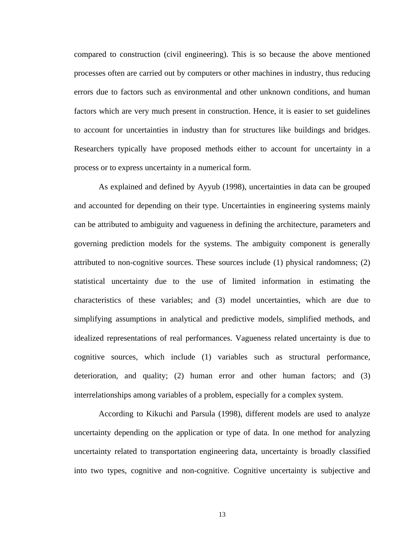compared to construction (civil engineering). This is so because the above mentioned processes often are carried out by computers or other machines in industry, thus reducing errors due to factors such as environmental and other unknown conditions, and human factors which are very much present in construction. Hence, it is easier to set guidelines to account for uncertainties in industry than for structures like buildings and bridges. Researchers typically have proposed methods either to account for uncertainty in a process or to express uncertainty in a numerical form.

As explained and defined by Ayyub (1998), uncertainties in data can be grouped and accounted for depending on their type. Uncertainties in engineering systems mainly can be attributed to ambiguity and vagueness in defining the architecture, parameters and governing prediction models for the systems. The ambiguity component is generally attributed to non-cognitive sources. These sources include (1) physical randomness; (2) statistical uncertainty due to the use of limited information in estimating the characteristics of these variables; and (3) model uncertainties, which are due to simplifying assumptions in analytical and predictive models, simplified methods, and idealized representations of real performances. Vagueness related uncertainty is due to cognitive sources, which include (1) variables such as structural performance, deterioration, and quality; (2) human error and other human factors; and (3) interrelationships among variables of a problem, especially for a complex system.

 According to Kikuchi and Parsula (1998), different models are used to analyze uncertainty depending on the application or type of data. In one method for analyzing uncertainty related to transportation engineering data, uncertainty is broadly classified into two types, cognitive and non-cognitive. Cognitive uncertainty is subjective and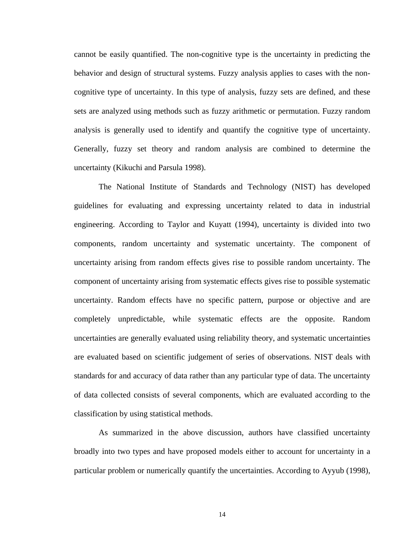cannot be easily quantified. The non-cognitive type is the uncertainty in predicting the behavior and design of structural systems. Fuzzy analysis applies to cases with the noncognitive type of uncertainty. In this type of analysis, fuzzy sets are defined, and these sets are analyzed using methods such as fuzzy arithmetic or permutation. Fuzzy random analysis is generally used to identify and quantify the cognitive type of uncertainty. Generally, fuzzy set theory and random analysis are combined to determine the uncertainty (Kikuchi and Parsula 1998).

 The National Institute of Standards and Technology (NIST) has developed guidelines for evaluating and expressing uncertainty related to data in industrial engineering. According to Taylor and Kuyatt (1994), uncertainty is divided into two components, random uncertainty and systematic uncertainty. The component of uncertainty arising from random effects gives rise to possible random uncertainty. The component of uncertainty arising from systematic effects gives rise to possible systematic uncertainty. Random effects have no specific pattern, purpose or objective and are completely unpredictable, while systematic effects are the opposite. Random uncertainties are generally evaluated using reliability theory, and systematic uncertainties are evaluated based on scientific judgement of series of observations. NIST deals with standards for and accuracy of data rather than any particular type of data. The uncertainty of data collected consists of several components, which are evaluated according to the classification by using statistical methods.

As summarized in the above discussion, authors have classified uncertainty broadly into two types and have proposed models either to account for uncertainty in a particular problem or numerically quantify the uncertainties. According to Ayyub (1998),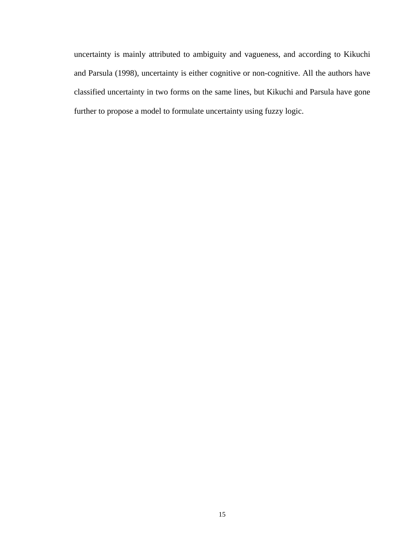uncertainty is mainly attributed to ambiguity and vagueness, and according to Kikuchi and Parsula (1998), uncertainty is either cognitive or non-cognitive. All the authors have classified uncertainty in two forms on the same lines, but Kikuchi and Parsula have gone further to propose a model to formulate uncertainty using fuzzy logic.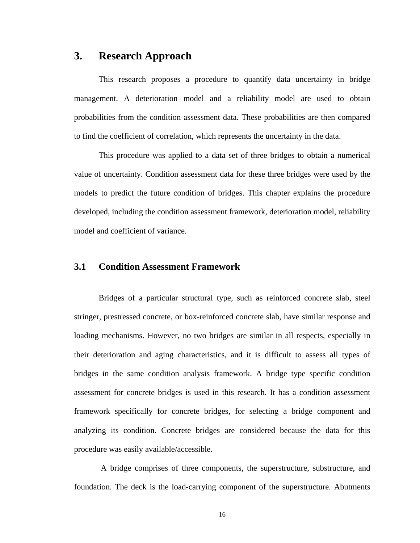### **3. Research Approach**

This research proposes a procedure to quantify data uncertainty in bridge management. A deterioration model and a reliability model are used to obtain probabilities from the condition assessment data. These probabilities are then compared to find the coefficient of correlation, which represents the uncertainty in the data.

This procedure was applied to a data set of three bridges to obtain a numerical value of uncertainty. Condition assessment data for these three bridges were used by the models to predict the future condition of bridges. This chapter explains the procedure developed, including the condition assessment framework, deterioration model, reliability model and coefficient of variance.

#### **3.1 Condition Assessment Framework**

 Bridges of a particular structural type, such as reinforced concrete slab, steel stringer, prestressed concrete, or box-reinforced concrete slab, have similar response and loading mechanisms. However, no two bridges are similar in all respects, especially in their deterioration and aging characteristics, and it is difficult to assess all types of bridges in the same condition analysis framework. A bridge type specific condition assessment for concrete bridges is used in this research. It has a condition assessment framework specifically for concrete bridges, for selecting a bridge component and analyzing its condition. Concrete bridges are considered because the data for this procedure was easily available/accessible.

 A bridge comprises of three components, the superstructure, substructure, and foundation. The deck is the load-carrying component of the superstructure. Abutments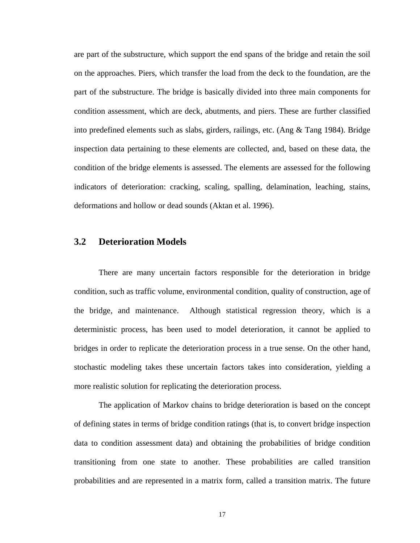are part of the substructure, which support the end spans of the bridge and retain the soil on the approaches. Piers, which transfer the load from the deck to the foundation, are the part of the substructure. The bridge is basically divided into three main components for condition assessment, which are deck, abutments, and piers. These are further classified into predefined elements such as slabs, girders, railings, etc. (Ang & Tang 1984). Bridge inspection data pertaining to these elements are collected, and, based on these data, the condition of the bridge elements is assessed. The elements are assessed for the following indicators of deterioration: cracking, scaling, spalling, delamination, leaching, stains, deformations and hollow or dead sounds (Aktan et al. 1996).

#### **3.2 Deterioration Models**

There are many uncertain factors responsible for the deterioration in bridge condition, such as traffic volume, environmental condition, quality of construction, age of the bridge, and maintenance. Although statistical regression theory, which is a deterministic process, has been used to model deterioration, it cannot be applied to bridges in order to replicate the deterioration process in a true sense. On the other hand, stochastic modeling takes these uncertain factors takes into consideration, yielding a more realistic solution for replicating the deterioration process.

 The application of Markov chains to bridge deterioration is based on the concept of defining states in terms of bridge condition ratings (that is, to convert bridge inspection data to condition assessment data) and obtaining the probabilities of bridge condition transitioning from one state to another. These probabilities are called transition probabilities and are represented in a matrix form, called a transition matrix. The future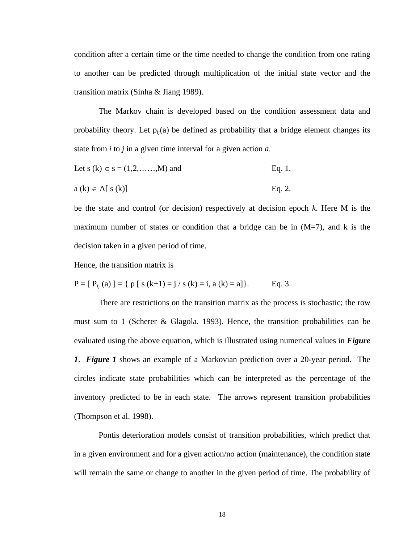condition after a certain time or the time needed to change the condition from one rating to another can be predicted through multiplication of the initial state vector and the transition matrix (Sinha & Jiang 1989).

 The Markov chain is developed based on the condition assessment data and probability theory. Let  $p_{ii}(a)$  be defined as probability that a bridge element changes its state from *i* to *j* in a given time interval for a given action *a*.

Let 
$$
s(k) \in s = (1, 2, ..., M)
$$
 and Eq. 1.

$$
a(k) \in A[ s(k)] \qquad Eq. 2.
$$

be the state and control (or decision) respectively at decision epoch *k*. Here M is the maximum number of states or condition that a bridge can be in  $(M=7)$ , and k is the decision taken in a given period of time.

Hence, the transition matrix is

$$
P = [P_{ij}(a)] = \{ p [ s (k+1) = j / s (k) = i, a (k) = a] \}.
$$
 Eq. 3.

There are restrictions on the transition matrix as the process is stochastic; the row must sum to 1 (Scherer & Glagola. 1993). Hence, the transition probabilities can be evaluated using the above equation, which is illustrated using numerical values in *Figure 1*. *Figure 1* shows an example of a Markovian prediction over a 20-year period. The circles indicate state probabilities which can be interpreted as the percentage of the inventory predicted to be in each state. The arrows represent transition probabilities (Thompson et al. 1998).

Pontis deterioration models consist of transition probabilities, which predict that in a given environment and for a given action/no action (maintenance), the condition state will remain the same or change to another in the given period of time. The probability of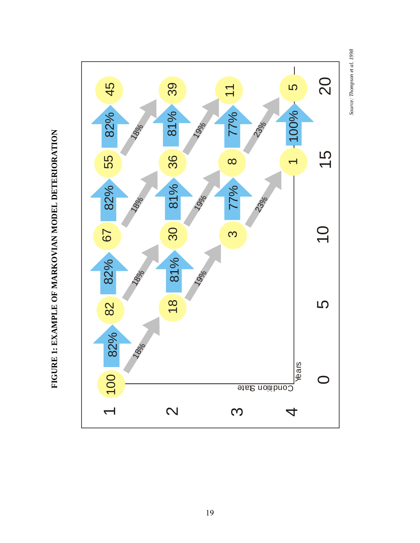

**FIGURE 1: EXAMPLE OF MARKOVIAN MODEL DETERIORATION**  FIGURE 1: EXAMPLE OF MARKOVIAN MODEL DETERIORATION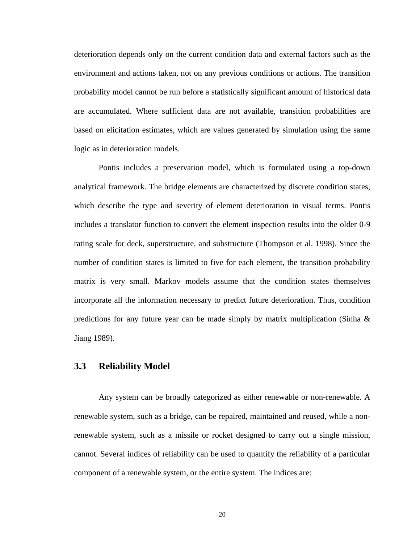deterioration depends only on the current condition data and external factors such as the environment and actions taken, not on any previous conditions or actions. The transition probability model cannot be run before a statistically significant amount of historical data are accumulated. Where sufficient data are not available, transition probabilities are based on elicitation estimates, which are values generated by simulation using the same logic as in deterioration models.

Pontis includes a preservation model, which is formulated using a top-down analytical framework. The bridge elements are characterized by discrete condition states, which describe the type and severity of element deterioration in visual terms. Pontis includes a translator function to convert the element inspection results into the older 0-9 rating scale for deck, superstructure, and substructure (Thompson et al. 1998). Since the number of condition states is limited to five for each element, the transition probability matrix is very small. Markov models assume that the condition states themselves incorporate all the information necessary to predict future deterioration. Thus, condition predictions for any future year can be made simply by matrix multiplication (Sinha  $\&$ Jiang 1989).

#### **3.3 Reliability Model**

Any system can be broadly categorized as either renewable or non-renewable. A renewable system, such as a bridge, can be repaired, maintained and reused, while a nonrenewable system, such as a missile or rocket designed to carry out a single mission, cannot. Several indices of reliability can be used to quantify the reliability of a particular component of a renewable system, or the entire system. The indices are: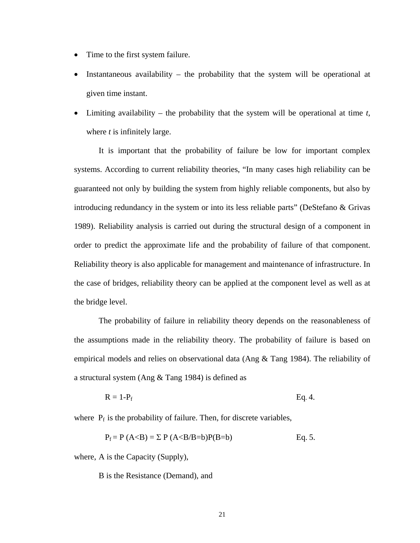- Time to the first system failure.
- Instantaneous availability the probability that the system will be operational at given time instant.
- Limiting availability the probability that the system will be operational at time *t,* where *t* is infinitely large.

It is important that the probability of failure be low for important complex systems. According to current reliability theories, "In many cases high reliability can be guaranteed not only by building the system from highly reliable components, but also by introducing redundancy in the system or into its less reliable parts" (DeStefano & Grivas 1989). Reliability analysis is carried out during the structural design of a component in order to predict the approximate life and the probability of failure of that component. Reliability theory is also applicable for management and maintenance of infrastructure. In the case of bridges, reliability theory can be applied at the component level as well as at the bridge level.

 The probability of failure in reliability theory depends on the reasonableness of the assumptions made in the reliability theory. The probability of failure is based on empirical models and relies on observational data (Ang & Tang 1984). The reliability of a structural system (Ang & Tang 1984) is defined as

$$
R = 1-P_f
$$
 Eq. 4.

where  $P_f$  is the probability of failure. Then, for discrete variables,

$$
P_f = P (A < B) = \Sigma P (A < B/B = b)P(B = b)
$$
 Eq. 5.

where, A is the Capacity (Supply),

B is the Resistance (Demand), and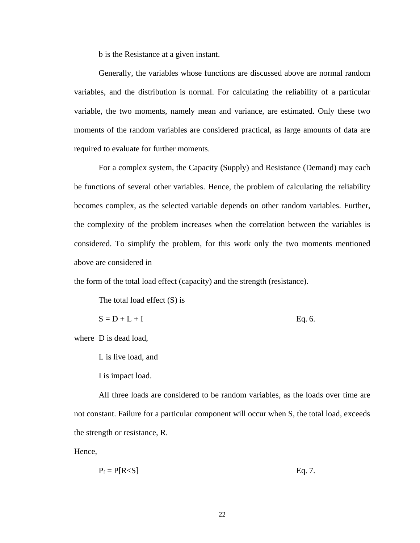b is the Resistance at a given instant.

Generally, the variables whose functions are discussed above are normal random variables, and the distribution is normal. For calculating the reliability of a particular variable, the two moments, namely mean and variance, are estimated. Only these two moments of the random variables are considered practical, as large amounts of data are required to evaluate for further moments.

 For a complex system, the Capacity (Supply) and Resistance (Demand) may each be functions of several other variables. Hence, the problem of calculating the reliability becomes complex, as the selected variable depends on other random variables. Further, the complexity of the problem increases when the correlation between the variables is considered. To simplify the problem, for this work only the two moments mentioned above are considered in

the form of the total load effect (capacity) and the strength (resistance).

The total load effect (S) is

$$
S = D + L + I
$$
 Eq. 6.

where D is dead load,

L is live load, and

I is impact load.

All three loads are considered to be random variables, as the loads over time are not constant. Failure for a particular component will occur when S, the total load, exceeds the strength or resistance, R.

Hence,

$$
P_f = P[R < S] \tag{Eq. 7.}
$$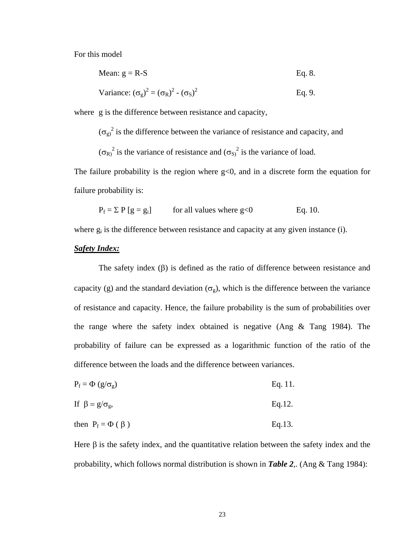For this model

Mean: 
$$
g = R-S
$$
 Eq. 8.

Variance: 
$$
(\sigma_g)^2 = (\sigma_R)^2 - (\sigma_S)^2
$$
 Eq. 9.

where g is the difference between resistance and capacity,

 $(\sigma_g)^2$  is the difference between the variance of resistance and capacity, and  $(\sigma_R)^2$  is the variance of resistance and  $(\sigma_S)^2$  is the variance of load.

The failure probability is the region where  $g<0$ , and in a discrete form the equation for failure probability is:

$$
P_f = \sum P[g = g_i]
$$
 for all values where g<0 Eq. 10.

where  $g_i$  is the difference between resistance and capacity at any given instance (i).

#### *Safety Index:*

The safety index (β) is defined as the ratio of difference between resistance and capacity (g) and the standard deviation ( $\sigma_g$ ), which is the difference between the variance of resistance and capacity. Hence, the failure probability is the sum of probabilities over the range where the safety index obtained is negative (Ang & Tang 1984). The probability of failure can be expressed as a logarithmic function of the ratio of the difference between the loads and the difference between variances.

- $P_f = \Phi(g/\sigma_g)$  Eq. 11.
- If  $\beta = g/\sigma_g$ , Eq.12.
- then  $P_f = \Phi(\beta)$  Eq.13.

Here  $\beta$  is the safety index, and the quantitative relation between the safety index and the probability, which follows normal distribution is shown in *Table 2*,. (Ang & Tang 1984):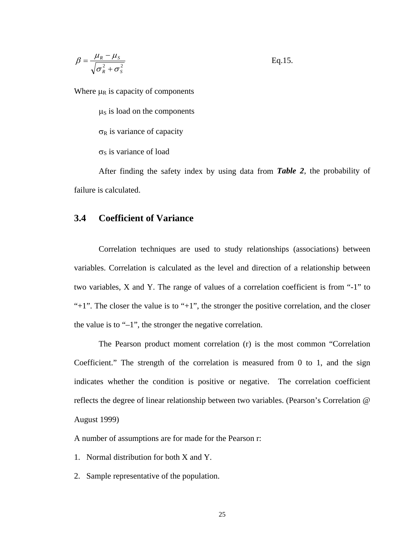$$
\beta = \frac{\mu_R - \mu_S}{\sqrt{\sigma_R^2 + \sigma_S^2}} \qquad \qquad \text{Eq.15.}
$$

Where  $\mu_R$  is capacity of components

 $\mu$ <sub>S</sub> is load on the components  $\sigma_R$  is variance of capacity  $\sigma_s$  is variance of load

After finding the safety index by using data from *Table 2*, the probability of failure is calculated.

#### **3.4 Coefficient of Variance**

Correlation techniques are used to study relationships (associations) between variables. Correlation is calculated as the level and direction of a relationship between two variables, X and Y. The range of values of a correlation coefficient is from "-1" to " $+1$ ". The closer the value is to " $+1$ ", the stronger the positive correlation, and the closer the value is to "–1", the stronger the negative correlation.

 The Pearson product moment correlation (r) is the most common "Correlation Coefficient." The strength of the correlation is measured from 0 to 1, and the sign indicates whether the condition is positive or negative. The correlation coefficient reflects the degree of linear relationship between two variables. (Pearson's Correlation @ August 1999)

A number of assumptions are for made for the Pearson r:

- 1. Normal distribution for both X and Y.
- 2. Sample representative of the population.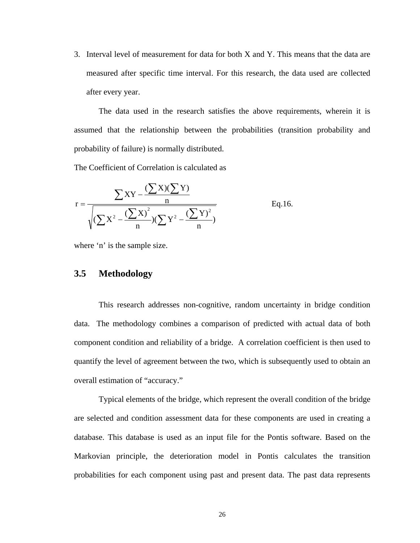3. Interval level of measurement for data for both X and Y. This means that the data are measured after specific time interval. For this research, the data used are collected after every year.

The data used in the research satisfies the above requirements, wherein it is assumed that the relationship between the probabilities (transition probability and probability of failure) is normally distributed.

The Coefficient of Correlation is calculated as

$$
r = \frac{\sum XY - \frac{(\sum X)(\sum Y)}{n}}{\sqrt{(\sum X^{2} - \frac{(\sum X)^{2}}{n})(\sum Y^{2} - \frac{(\sum Y)^{2}}{n})}}
$$
 Eq.16.

where 'n' is the sample size.

#### **3.5 Methodology**

This research addresses non-cognitive, random uncertainty in bridge condition data. The methodology combines a comparison of predicted with actual data of both component condition and reliability of a bridge. A correlation coefficient is then used to quantify the level of agreement between the two, which is subsequently used to obtain an overall estimation of "accuracy."

Typical elements of the bridge, which represent the overall condition of the bridge are selected and condition assessment data for these components are used in creating a database. This database is used as an input file for the Pontis software. Based on the Markovian principle, the deterioration model in Pontis calculates the transition probabilities for each component using past and present data. The past data represents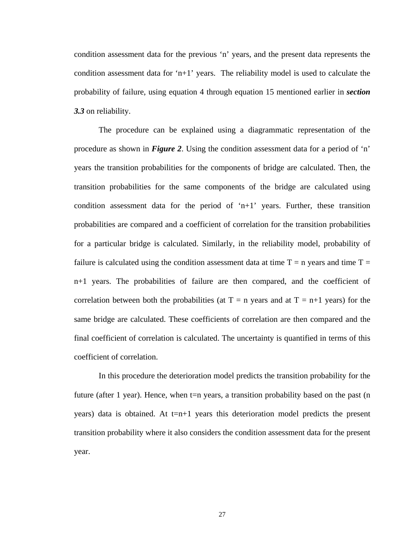condition assessment data for the previous 'n' years, and the present data represents the condition assessment data for 'n+1' years. The reliability model is used to calculate the probability of failure, using equation 4 through equation 15 mentioned earlier in *section 3.3* on reliability.

The procedure can be explained using a diagrammatic representation of the procedure as shown in *Figure 2*. Using the condition assessment data for a period of 'n' years the transition probabilities for the components of bridge are calculated. Then, the transition probabilities for the same components of the bridge are calculated using condition assessment data for the period of 'n+1' years. Further, these transition probabilities are compared and a coefficient of correlation for the transition probabilities for a particular bridge is calculated. Similarly, in the reliability model, probability of failure is calculated using the condition assessment data at time  $T = n$  years and time  $T =$ n+1 years. The probabilities of failure are then compared, and the coefficient of correlation between both the probabilities (at  $T = n$  years and at  $T = n+1$  years) for the same bridge are calculated. These coefficients of correlation are then compared and the final coefficient of correlation is calculated. The uncertainty is quantified in terms of this coefficient of correlation.

In this procedure the deterioration model predicts the transition probability for the future (after 1 year). Hence, when  $t=n$  years, a transition probability based on the past (n years) data is obtained. At  $t=n+1$  years this deterioration model predicts the present transition probability where it also considers the condition assessment data for the present year.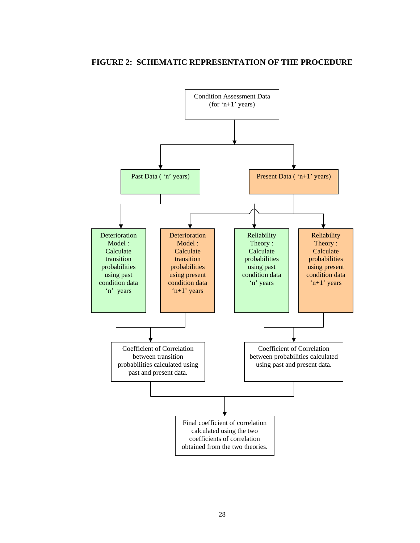#### **FIGURE 2: SCHEMATIC REPRESENTATION OF THE PROCEDURE**

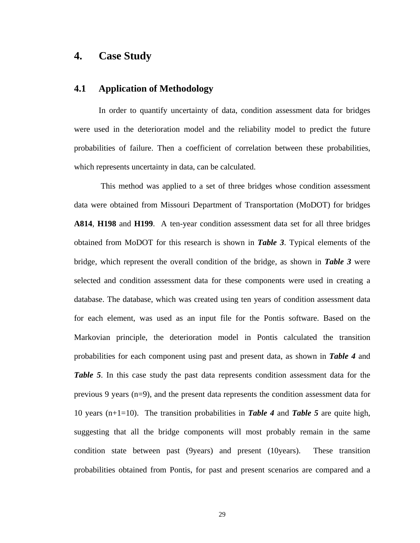### **4. Case Study**

#### **4.1 Application of Methodology**

In order to quantify uncertainty of data, condition assessment data for bridges were used in the deterioration model and the reliability model to predict the future probabilities of failure. Then a coefficient of correlation between these probabilities, which represents uncertainty in data, can be calculated.

 This method was applied to a set of three bridges whose condition assessment data were obtained from Missouri Department of Transportation (MoDOT) for bridges **A814**, **H198** and **H199**. A ten-year condition assessment data set for all three bridges obtained from MoDOT for this research is shown in *Table 3*. Typical elements of the bridge, which represent the overall condition of the bridge, as shown in *Table 3* were selected and condition assessment data for these components were used in creating a database. The database, which was created using ten years of condition assessment data for each element, was used as an input file for the Pontis software. Based on the Markovian principle, the deterioration model in Pontis calculated the transition probabilities for each component using past and present data, as shown in *Table 4* and *Table 5*. In this case study the past data represents condition assessment data for the previous 9 years (n=9), and the present data represents the condition assessment data for 10 years (n+1=10). The transition probabilities in *Table 4* and *Table 5* are quite high, suggesting that all the bridge components will most probably remain in the same condition state between past (9years) and present (10years). These transition probabilities obtained from Pontis, for past and present scenarios are compared and a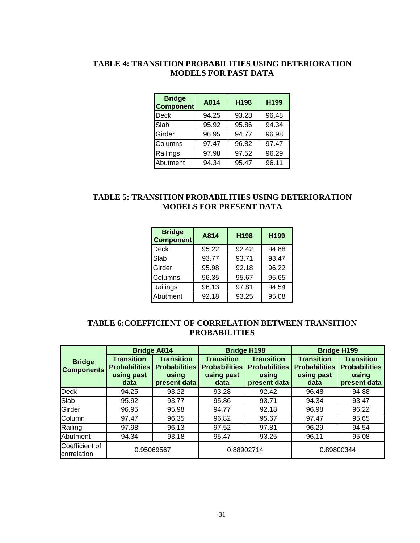### **TABLE 4: TRANSITION PROBABILITIES USING DETERIORATION MODELS FOR PAST DATA**

| <b>Bridge</b><br><b>Component</b> | A814  | H198  | H199  |
|-----------------------------------|-------|-------|-------|
| <b>Deck</b>                       | 94.25 | 93.28 | 96.48 |
| Slab                              | 95.92 | 95.86 | 94.34 |
| Girder                            | 96.95 | 94.77 | 96.98 |
| Columns                           | 97.47 | 96.82 | 97.47 |
| Railings                          | 97.98 | 97.52 | 96.29 |
| Abutment                          | 94.34 | 95.47 | 96.11 |

### **TABLE 5: TRANSITION PROBABILITIES USING DETERIORATION MODELS FOR PRESENT DATA**

| <b>Bridge</b><br><b>Component</b> | A814  | H198  | H199  |
|-----------------------------------|-------|-------|-------|
| <b>Deck</b>                       | 95.22 | 92.42 | 94.88 |
| Slab                              | 93.77 | 93.71 | 93.47 |
| Girder                            | 95.98 | 92.18 | 96.22 |
| Columns                           | 96.35 | 95.67 | 95.65 |
| Railings                          | 96.13 | 97.81 | 94.54 |
| Abutment                          | 92.18 | 93.25 | 95.08 |

#### **TABLE 6:COEFFICIENT OF CORRELATION BETWEEN TRANSITION PROBABILITIES**

|                                    |                                                                 | <b>Bridge A814</b>                                                 |                                                                 | <b>Bridge H198</b>                                                 | <b>Bridge H199</b>                                              |                                                                    |  |
|------------------------------------|-----------------------------------------------------------------|--------------------------------------------------------------------|-----------------------------------------------------------------|--------------------------------------------------------------------|-----------------------------------------------------------------|--------------------------------------------------------------------|--|
| <b>Bridge</b><br><b>Components</b> | <b>Transition</b><br><b>Probabilities</b><br>using past<br>data | <b>Transition</b><br><b>Probabilities</b><br>using<br>present data | <b>Transition</b><br><b>Probabilities</b><br>using past<br>data | <b>Transition</b><br><b>Probabilities</b><br>using<br>present data | <b>Transition</b><br><b>Probabilities</b><br>using past<br>data | <b>Transition</b><br><b>Probabilities</b><br>using<br>present data |  |
| <b>Deck</b>                        | 94.25                                                           | 93.22                                                              | 93.28                                                           | 92.42                                                              | 96.48                                                           | 94.88                                                              |  |
| Slab                               | 95.92                                                           | 93.77                                                              | 95.86                                                           | 93.71                                                              | 94.34                                                           | 93.47                                                              |  |
| Girder                             | 96.95                                                           | 95.98                                                              | 94.77                                                           | 92.18                                                              | 96.98                                                           | 96.22                                                              |  |
| Column                             | 97.47                                                           | 96.35                                                              | 96.82                                                           | 95.67                                                              | 97.47                                                           | 95.65                                                              |  |
| Railing                            | 97.98                                                           | 96.13                                                              | 97.52                                                           | 97.81                                                              | 96.29                                                           | 94.54                                                              |  |
| Abutment                           | 94.34                                                           | 93.18                                                              | 95.47                                                           | 93.25                                                              | 96.11                                                           | 95.08                                                              |  |
| Coefficient of<br>correlation      | 0.95069567                                                      |                                                                    |                                                                 | 0.88902714                                                         | 0.89800344                                                      |                                                                    |  |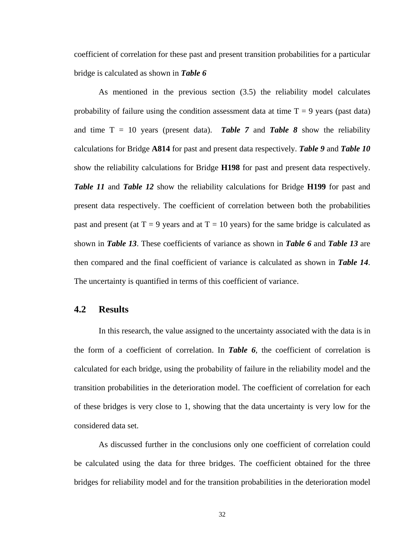coefficient of correlation for these past and present transition probabilities for a particular bridge is calculated as shown in *Table 6*

As mentioned in the previous section (3.5) the reliability model calculates probability of failure using the condition assessment data at time  $T = 9$  years (past data) and time  $T = 10$  years (present data). **Table 7** and **Table 8** show the reliability calculations for Bridge **A814** for past and present data respectively. *Table 9* and *Table 10* show the reliability calculations for Bridge **H198** for past and present data respectively. *Table 11* and *Table 12* show the reliability calculations for Bridge **H199** for past and present data respectively. The coefficient of correlation between both the probabilities past and present (at  $T = 9$  years and at  $T = 10$  years) for the same bridge is calculated as shown in *Table 13*. These coefficients of variance as shown in *Table 6* and *Table 13* are then compared and the final coefficient of variance is calculated as shown in *Table 14*. The uncertainty is quantified in terms of this coefficient of variance.

#### **4.2 Results**

In this research, the value assigned to the uncertainty associated with the data is in the form of a coefficient of correlation. In *Table 6*, the coefficient of correlation is calculated for each bridge, using the probability of failure in the reliability model and the transition probabilities in the deterioration model. The coefficient of correlation for each of these bridges is very close to 1, showing that the data uncertainty is very low for the considered data set.

As discussed further in the conclusions only one coefficient of correlation could be calculated using the data for three bridges. The coefficient obtained for the three bridges for reliability model and for the transition probabilities in the deterioration model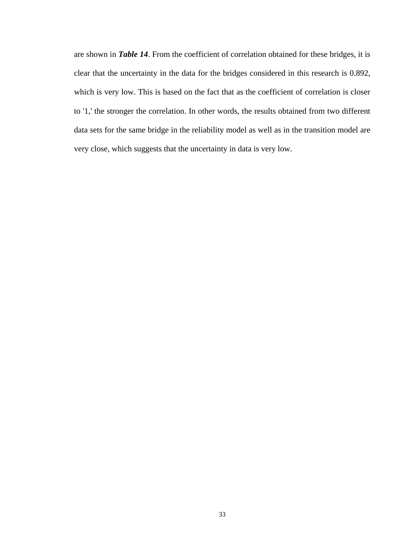are shown in *Table 14*. From the coefficient of correlation obtained for these bridges, it is clear that the uncertainty in the data for the bridges considered in this research is 0.892, which is very low. This is based on the fact that as the coefficient of correlation is closer to '1,' the stronger the correlation. In other words, the results obtained from two different data sets for the same bridge in the reliability model as well as in the transition model are very close, which suggests that the uncertainty in data is very low.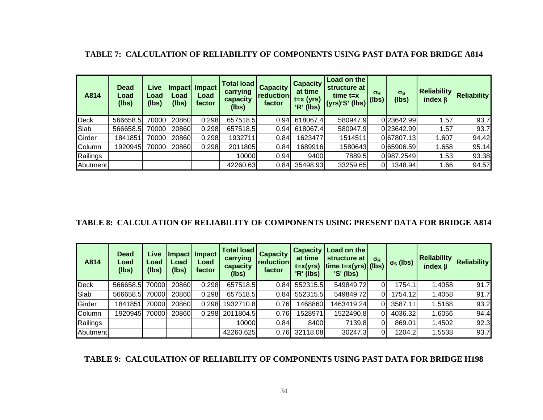|  |  |  |  |  | <b>TABLE 7: CALCULATION OF RELIABILITY OF COMPONENTS USING PAST DATA FOR BRIDGE A814</b> |
|--|--|--|--|--|------------------------------------------------------------------------------------------|
|--|--|--|--|--|------------------------------------------------------------------------------------------|

| A814     | <b>Dead</b><br>Load<br>(lbs) | Live<br>Load<br>(lbs) | Load<br>(lbs) | Impact Impact<br>Load<br>factor | Total load<br>carrying<br>capacity<br>(lbs) | <b>Capacity</b><br><b>reduction</b><br>factor | <b>Capacity</b><br>at time<br>$t = x (yrs)$<br>'R' (lbs) | Load on the<br>structure at<br>$time t = x$ | $\sigma_{R}$ | $\sigma_{\rm S}$<br>(lbs) | <b>Reliability</b><br>index $\beta$ | <b>Reliability</b> |
|----------|------------------------------|-----------------------|---------------|---------------------------------|---------------------------------------------|-----------------------------------------------|----------------------------------------------------------|---------------------------------------------|--------------|---------------------------|-------------------------------------|--------------------|
| Deck     | 566658.5                     | 70000                 | 20860         | 0.298                           | 657518.5                                    | 0.94                                          | 618067.4                                                 | 580947.9                                    |              | 023642.99                 | 1.57                                | 93.7               |
| Slab     | 566658.5                     | 70000                 | 20860         | 0.298                           | 657518.5                                    | 0.94                                          | 618067.4                                                 | 580947.9                                    |              | 023642.99                 | 1.57                                | 93.7               |
| Girder   | 1841851                      | 70000                 | 20860         | 0.298                           | 1932711                                     | 0.84                                          | 1623477                                                  | 1514511                                     |              | 067807.13                 | 1.607                               | 94.42              |
| Column   | 1920945                      | 70000                 | 20860         | 0.298                           | 2011805                                     | 0.84                                          | 1689916                                                  | 1580643                                     |              | 065906.59                 | .658                                | 95.14              |
| Railings |                              |                       |               |                                 | 10000                                       | 0.94                                          | 9400                                                     | 7889.5                                      |              | 0987.2549                 | 1.53                                | 93.38              |
| Abutment |                              |                       |               |                                 | 42260.63                                    | 0.84                                          | 35498.93                                                 | 33259.65                                    | ΩI           | 1348.94                   | 1.66                                | 94.57              |

#### **TABLE 8: CALCULATION OF RELIABILITY OF COMPONENTS USING PRESENT DATA FOR BRIDGE A814**

| A814     | <b>Dead</b><br>Load<br>(lbs) | Live<br>Load<br>(lbs) | Load<br>(lbs) | Impact   Impact  <br>Load<br>factor | <b>Total load</b><br>carrying<br>capacity<br>(lbs) | <b>Capacity</b><br>reduction<br>factor | <b>Capacity</b><br>at time<br>$t = x(yrs)$<br>'R' (lbs) | Load on the<br>structure at<br>$\vert$ time t=x(yrs) $\vert$ (lbs) $\vert$<br>$'S'$ (lbs) | $\sigma_{R}$ | $\sigma_S$ (lbs) | <b>Reliability</b><br>index $\beta$ | <b>Reliability</b> |
|----------|------------------------------|-----------------------|---------------|-------------------------------------|----------------------------------------------------|----------------------------------------|---------------------------------------------------------|-------------------------------------------------------------------------------------------|--------------|------------------|-------------------------------------|--------------------|
| Deck     | 566658.5                     | 70000                 | 20860         | 0.298                               | 657518.5                                           | 0.84                                   | 552315.5                                                | 549849.72                                                                                 |              | 1754.1           | .4058                               | 91.7               |
| Slab     | 566658.5                     | 70000                 | 20860         | 0.298                               | 657518.5                                           | 0.84                                   | 552315.5                                                | 549849.72                                                                                 | 0            | 1754.12          | 1.4058                              | 91.7               |
| Girder   | 1841851                      | 70000                 | 20860         | 0.298                               | 1932710.8                                          | 0.76                                   | 1468860                                                 | 1463419.24                                                                                | $\Omega$     | 3587.11          | 1.5168                              | 93.2               |
| Column   | 1920945                      | 70000                 | 20860         | 0.298                               | 2011804.5                                          | 0.76                                   | 1528971                                                 | 1522490.8                                                                                 | 0            | 4036.32          | 1.6056                              | 94.4               |
| Railings |                              |                       |               |                                     | 10000                                              | 0.84                                   | 8400                                                    | 7139.8                                                                                    | 0            | 869.01           | 1.4502                              | 92.3               |
| Abutment |                              |                       |               |                                     | 42260.625                                          | 0.76                                   | 32118.08                                                | 30247.3                                                                                   | 0            | 1204.2           | 1.5538                              | 93.7               |

#### **TABLE 9: CALCULATION OF RELIABILITY OF COMPONENTS USING PAST DATA FOR BRIDGE H198**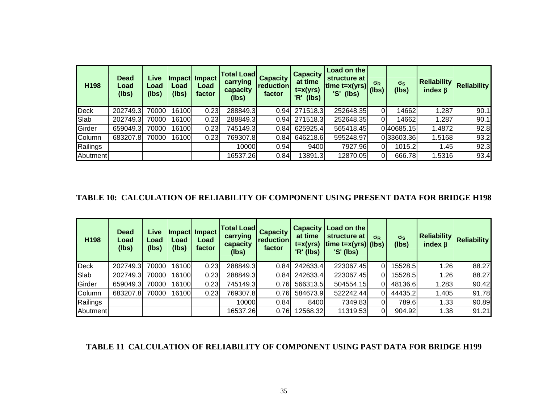| H198     | <b>Dead</b><br>Load<br>(lbs) | Live<br>Load<br>(lbs) | Load<br>(lbs) | Impact Impact<br>Load<br>factor | <b>Total Load</b><br>carrying<br>capacity<br>(lbs) | <b>Capacity</b><br>reduction<br>factor | <b>Capacity</b><br>at time<br>$t = x(yrs)$<br>(lbs)<br>'R' | Load on the<br>structure at<br>time $t = x(yrs)$<br>'S' (lbs) | $\sigma_{R}$<br>(lbs) | $\sigma_{\rm S}$<br>(lbs) | <b>Reliability</b><br>index $\beta$ | <b>Reliability</b> |
|----------|------------------------------|-----------------------|---------------|---------------------------------|----------------------------------------------------|----------------------------------------|------------------------------------------------------------|---------------------------------------------------------------|-----------------------|---------------------------|-------------------------------------|--------------------|
| Deck     | 202749.3                     | 70000                 | 16100         | 0.23                            | 288849.3                                           | 0.94                                   | 271518.3                                                   | 252648.35                                                     |                       | 14662                     | 1.287                               | 90.1               |
| Slab     | 202749.3                     | 70000                 | 16100         | 0.23                            | 288849.3                                           | 0.94                                   | 271518.3                                                   | 252648.35                                                     |                       | 14662                     | 1.287                               | 90.1               |
| Girder   | 659049.3                     | 70000                 | 16100         | 0.23                            | 745149.3                                           | 0.84                                   | 625925.4                                                   | 565418.45                                                     |                       | 040685.15                 | .4872                               | 92.8               |
| Column   | 683207.8                     | 70000                 | 16100         | 0.23                            | 769307.8                                           | 0.84                                   | 646218.6                                                   | 595248.97                                                     |                       | 033603.36                 | 1.5168                              | 93.2               |
| Railings |                              |                       |               |                                 | 10000                                              | 0.94                                   | 9400                                                       | 7927.96                                                       |                       | 1015.2                    | 1.45                                | 92.3               |
| Abutment |                              |                       |               |                                 | 16537.26                                           | 0.84                                   | 3891.3                                                     | 12870.05                                                      |                       | 666.78                    | 1.5316                              | 93.4               |

#### **TABLE 10: CALCULATION OF RELIABILITY OF COMPONENT USING PRESENT DATA FOR BRIDGE H198**

| H198        | <b>Dead</b><br>Load<br>(lbs) | Live<br>Load<br>(lbs) | Load<br>(lbs) | Impact Impact<br>Load<br>factor | <b>Total Load</b><br>carrying<br>capacity<br>(lbs) | <b>Capacity</b><br><b>reduction</b><br>factor | <b>Capacity</b><br>at time<br>t=x(yrs)<br>'R' (lbs) | Load on the<br>structure at<br>$\vert$ time t=x(yrs) $\vert$ (lbs) $\vert$<br>$'S'$ (lbs) | $\sigma_{R}$ | $\sigma_{\rm S}$<br>(lbs) | <b>Reliability</b><br>index $\beta$ | <b>Reliability</b> |
|-------------|------------------------------|-----------------------|---------------|---------------------------------|----------------------------------------------------|-----------------------------------------------|-----------------------------------------------------|-------------------------------------------------------------------------------------------|--------------|---------------------------|-------------------------------------|--------------------|
| <b>Deck</b> | 202749.3                     | 70000                 | 16100         | 0.23                            | 288849.3                                           | 0.84                                          | 242633.4                                            | 223067.45                                                                                 | 0l           | 15528.5                   | 1.26                                | 88.27              |
| Slab        | 202749.3                     | 70000                 | 16100         | 0.23                            | 288849.3                                           | 0.84                                          | 242633.4                                            | 223067.45                                                                                 | 0l           | 15528.5                   | 1.26                                | 88.27              |
| Girder      | 659049.3                     | 70000                 | 16100         | 0.23                            | 745149.3                                           | 0.76                                          | 566313.5                                            | 504554.15                                                                                 | 0l           | 48136.6                   | 1.283                               | 90.42              |
| Column      | 683207.8                     | 70000                 | 16100         | 0.23                            | 769307.8                                           | 0.76                                          | 584673.9                                            | 522242.44                                                                                 | $\Omega$     | 44435.2                   | 1.405                               | 91.78              |
| Railings    |                              |                       |               |                                 | 10000                                              | 0.84                                          | 8400                                                | 7349.83                                                                                   | 0l           | 789.6                     | 1.33                                | 90.89              |
| Abutment    |                              |                       |               |                                 | 16537.26                                           | 0.76                                          | 12568.32                                            | 11319.53                                                                                  | 0l           | 904.92                    | 1.38                                | 91.21              |

#### **TABLE 11 CALCULATION OF RELIABILITY OF COMPONENT USING PAST DATA FOR BRIDGE H199**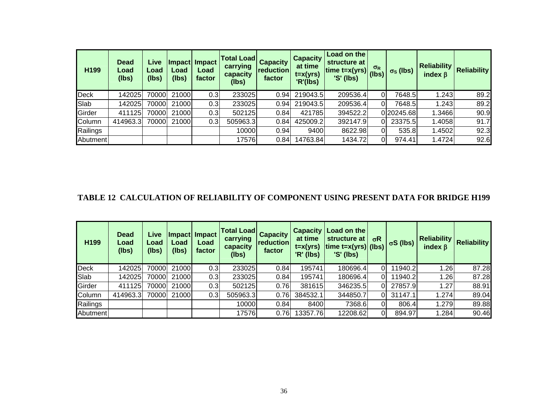| H199        | <b>Dead</b><br>Load<br>(lbs) | Live<br>Load<br>(lbs) | Load<br>(lbs) | Impact Impact<br>Load<br>factor | <b>Total Load</b><br>carrying<br>capacity<br>(lbs) | <b>Capacity</b><br>reduction<br>factor | <b>Capacity</b><br>at time<br>$t = x(yrs)$<br>'R'(lbs) | Load on the<br>structure at<br>$\frac{1}{\text{time}}$ t=x(yrs) (lbs)<br>$'S'$ (lbs) |          | $\sigma_S$ (lbs) | <b>Reliability</b><br>index $\beta$ | <b>Reliability</b> |
|-------------|------------------------------|-----------------------|---------------|---------------------------------|----------------------------------------------------|----------------------------------------|--------------------------------------------------------|--------------------------------------------------------------------------------------|----------|------------------|-------------------------------------|--------------------|
| <b>Deck</b> | 142025                       | 70000                 | 21000         | 0.3                             | 233025                                             | 0.94                                   | 219043.5                                               | 209536.4                                                                             | ΩI       | 7648.5           | 1.243                               | 89.2               |
| Slab        | 142025                       | 70000                 | 21000         | 0.3                             | 233025                                             | 0.94                                   | 219043.5                                               | 209536.4                                                                             | 0l       | 7648.5           | 1.243                               | 89.2               |
| Girder      | 411125                       | 70000                 | 21000         | 0.3                             | 502125                                             | 0.84                                   | 421785                                                 | 394522.2                                                                             |          | 0 20245.68       | 1.3466                              | 90.9               |
| Column      | 414963.3                     | 70000                 | 21000         | 0.3                             | 505963.3                                           | 0.84                                   | 425009.2                                               | 392147.9                                                                             | ΟI       | 23375.5          | <b>1.4058</b>                       | 91.7               |
| Railings    |                              |                       |               |                                 | 10000                                              | 0.94                                   | 9400                                                   | 8622.98                                                                              | $\Omega$ | 535.8            | 1.4502                              | 92.3               |
| Abutment    |                              |                       |               |                                 | 17576                                              | 0.84                                   | 14763.84                                               | 1434.72                                                                              | 0l       | 974.41           | 1.4724                              | 92.6               |

#### **TABLE 12 CALCULATION OF RELIABILITY OF COMPONENT USING PRESENT DATA FOR BRIDGE H199**

| H199        | <b>Dead</b><br>Load<br>(lbs) | Live<br>Load<br>(lbs) | Load<br>(lbs) | Impact Impact<br>Load<br>factor | <b>Total Load</b><br>carrying<br>capacity<br>(lbs) | <b>Capacity</b><br>reduction<br>factor | <b>Capacity</b><br>at time<br>$t = x(yrs)$<br>'R' (lbs) | Load on the<br>structure at<br>$\vert$ time t=x(yrs) $\vert$ (lbs)<br>$'S'$ (lbs) | $\sigma$ R | $\sigma S$ (lbs) | <b>Reliability</b><br>index $\beta$ | <b>Reliability</b> |
|-------------|------------------------------|-----------------------|---------------|---------------------------------|----------------------------------------------------|----------------------------------------|---------------------------------------------------------|-----------------------------------------------------------------------------------|------------|------------------|-------------------------------------|--------------------|
| <b>Deck</b> | 142025                       | 70000                 | 21000         | 0.3                             | 233025                                             | 0.84                                   | 195741                                                  | 180696.4                                                                          | ΩI         | 11940.2          | 1.26                                | 87.28              |
| Slab        | 1420251                      | 70000                 | 21000         | 0.3                             | 233025                                             | 0.84                                   | 195741                                                  | 180696.4                                                                          | ΩI         | 11940.2          | 1.26                                | 87.28              |
| Girder      | 411125                       | 70000                 | 21000         | 0.3                             | 502125                                             | 0.76                                   | 381615                                                  | 346235.5                                                                          | 0          | 27857.9          | 1.27                                | 88.91              |
| Column      | 414963.3                     | 70000                 | 21000         | 0.3                             | 505963.3                                           | 0.76                                   | 384532.1                                                | 344850.7                                                                          | ΩI         | 31147.1          | 1.274                               | 89.04              |
| Railings    |                              |                       |               |                                 | 10000                                              | 0.84                                   | 8400                                                    | 7368.6                                                                            |            | 806.4            | 1.279                               | 89.88              |
| Abutmentl   |                              |                       |               |                                 | 17576                                              | 0.76                                   | 13357.76                                                | 12208.62                                                                          |            | 894.97           | 1.284                               | 90.46              |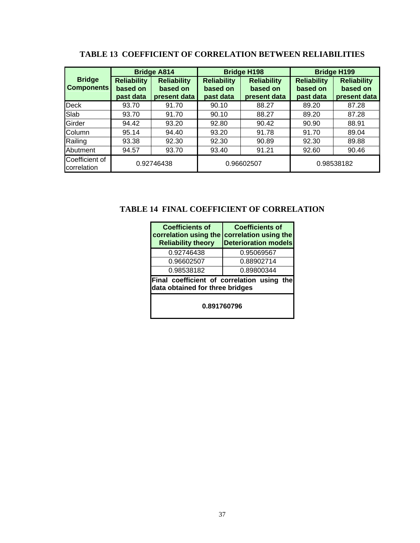|                                    |                                             | <b>Bridge A814</b>                             |                                             | <b>Bridge H198</b>                             | <b>Bridge H199</b>                          |                                                |  |
|------------------------------------|---------------------------------------------|------------------------------------------------|---------------------------------------------|------------------------------------------------|---------------------------------------------|------------------------------------------------|--|
| <b>Bridge</b><br><b>Components</b> | <b>Reliability</b><br>based on<br>past data | <b>Reliability</b><br>based on<br>present data | <b>Reliability</b><br>based on<br>past data | <b>Reliability</b><br>based on<br>present data | <b>Reliability</b><br>based on<br>past data | <b>Reliability</b><br>based on<br>present data |  |
| <b>Deck</b>                        | 93.70                                       | 91.70                                          | 90.10                                       | 88.27                                          | 89.20                                       | 87.28                                          |  |
| Slab                               | 93.70                                       | 91.70                                          | 90.10                                       | 88.27                                          | 89.20                                       | 87.28                                          |  |
| Girder                             | 94.42                                       | 93.20                                          | 92.80                                       | 90.42                                          | 90.90                                       | 88.91                                          |  |
| Column                             | 95.14                                       | 94.40                                          | 93.20                                       | 91.78                                          | 91.70                                       | 89.04                                          |  |
| Railing                            | 93.38                                       | 92.30                                          | 92.30                                       | 90.89                                          | 92.30                                       | 89.88                                          |  |
| Abutment                           | 94.57                                       | 93.70                                          | 93.40                                       | 91.21                                          | 92.60                                       | 90.46                                          |  |
| Coefficient of<br>correlation      |                                             | 0.92746438                                     |                                             | 0.96602507                                     | 0.98538182                                  |                                                |  |

### **TABLE 13 COEFFICIENT OF CORRELATION BETWEEN RELIABILITIES**

**TABLE 14 FINAL COEFFICIENT OF CORRELATION** 

| <b>Coefficients of</b><br>correlation using the<br><b>Reliability theory</b>  | <b>Coefficients of</b><br>correlation using the<br><b>Deterioration models</b> |  |  |  |  |  |  |
|-------------------------------------------------------------------------------|--------------------------------------------------------------------------------|--|--|--|--|--|--|
| 0.92746438                                                                    | 0.95069567                                                                     |  |  |  |  |  |  |
| 0.96602507                                                                    | 0.88902714                                                                     |  |  |  |  |  |  |
| 0.98538182                                                                    | 0.89800344                                                                     |  |  |  |  |  |  |
| Final coefficient of correlation using the<br>data obtained for three bridges |                                                                                |  |  |  |  |  |  |
| 0.891760796                                                                   |                                                                                |  |  |  |  |  |  |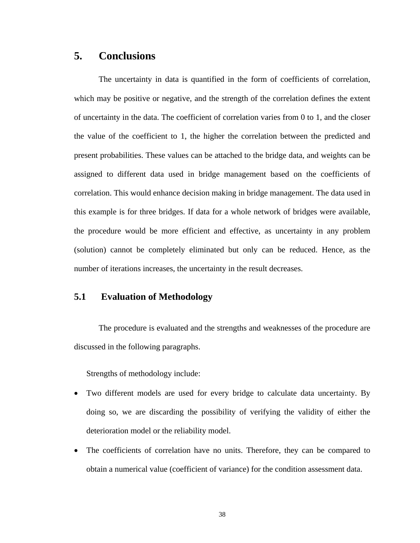### **5. Conclusions**

The uncertainty in data is quantified in the form of coefficients of correlation, which may be positive or negative, and the strength of the correlation defines the extent of uncertainty in the data. The coefficient of correlation varies from 0 to 1, and the closer the value of the coefficient to 1, the higher the correlation between the predicted and present probabilities. These values can be attached to the bridge data, and weights can be assigned to different data used in bridge management based on the coefficients of correlation. This would enhance decision making in bridge management. The data used in this example is for three bridges. If data for a whole network of bridges were available, the procedure would be more efficient and effective, as uncertainty in any problem (solution) cannot be completely eliminated but only can be reduced. Hence, as the number of iterations increases, the uncertainty in the result decreases.

### **5.1 Evaluation of Methodology**

The procedure is evaluated and the strengths and weaknesses of the procedure are discussed in the following paragraphs.

Strengths of methodology include:

- Two different models are used for every bridge to calculate data uncertainty. By doing so, we are discarding the possibility of verifying the validity of either the deterioration model or the reliability model.
- The coefficients of correlation have no units. Therefore, they can be compared to obtain a numerical value (coefficient of variance) for the condition assessment data.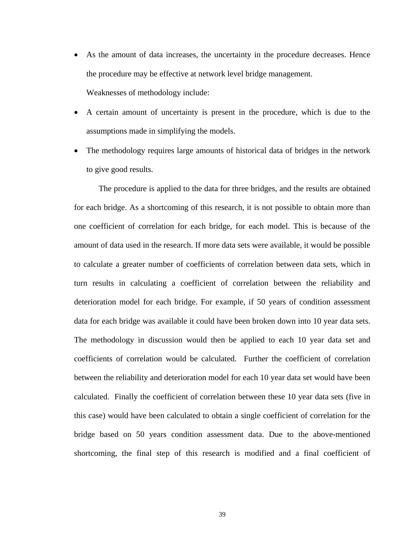- As the amount of data increases, the uncertainty in the procedure decreases. Hence the procedure may be effective at network level bridge management. Weaknesses of methodology include:
- A certain amount of uncertainty is present in the procedure, which is due to the assumptions made in simplifying the models.
- The methodology requires large amounts of historical data of bridges in the network to give good results.

The procedure is applied to the data for three bridges, and the results are obtained for each bridge. As a shortcoming of this research, it is not possible to obtain more than one coefficient of correlation for each bridge, for each model. This is because of the amount of data used in the research. If more data sets were available, it would be possible to calculate a greater number of coefficients of correlation between data sets, which in turn results in calculating a coefficient of correlation between the reliability and deterioration model for each bridge. For example, if 50 years of condition assessment data for each bridge was available it could have been broken down into 10 year data sets. The methodology in discussion would then be applied to each 10 year data set and coefficients of correlation would be calculated. Further the coefficient of correlation between the reliability and deterioration model for each 10 year data set would have been calculated. Finally the coefficient of correlation between these 10 year data sets (five in this case) would have been calculated to obtain a single coefficient of correlation for the bridge based on 50 years condition assessment data. Due to the above-mentioned shortcoming, the final step of this research is modified and a final coefficient of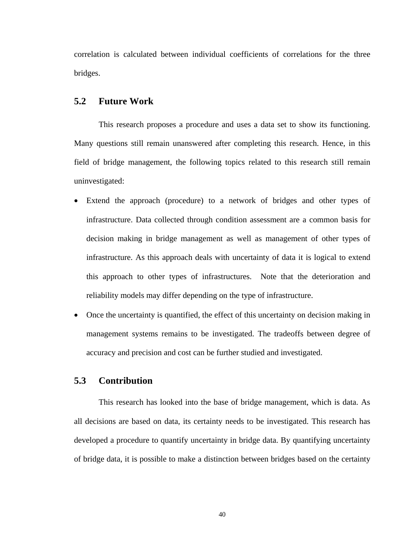correlation is calculated between individual coefficients of correlations for the three bridges.

#### **5.2 Future Work**

 This research proposes a procedure and uses a data set to show its functioning. Many questions still remain unanswered after completing this research. Hence, in this field of bridge management, the following topics related to this research still remain uninvestigated:

- Extend the approach (procedure) to a network of bridges and other types of infrastructure. Data collected through condition assessment are a common basis for decision making in bridge management as well as management of other types of infrastructure. As this approach deals with uncertainty of data it is logical to extend this approach to other types of infrastructures. Note that the deterioration and reliability models may differ depending on the type of infrastructure.
- Once the uncertainty is quantified, the effect of this uncertainty on decision making in management systems remains to be investigated. The tradeoffs between degree of accuracy and precision and cost can be further studied and investigated.

#### **5.3 Contribution**

 This research has looked into the base of bridge management, which is data. As all decisions are based on data, its certainty needs to be investigated. This research has developed a procedure to quantify uncertainty in bridge data. By quantifying uncertainty of bridge data, it is possible to make a distinction between bridges based on the certainty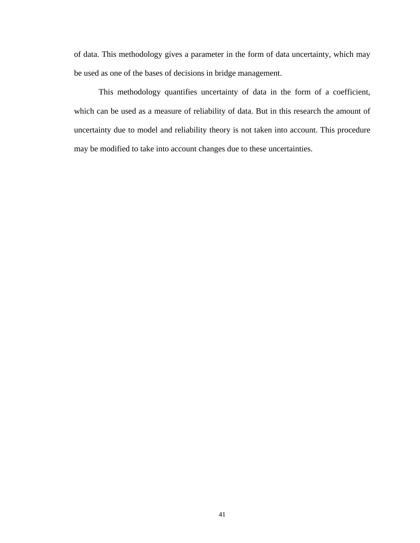of data. This methodology gives a parameter in the form of data uncertainty, which may be used as one of the bases of decisions in bridge management.

This methodology quantifies uncertainty of data in the form of a coefficient, which can be used as a measure of reliability of data. But in this research the amount of uncertainty due to model and reliability theory is not taken into account. This procedure may be modified to take into account changes due to these uncertainties.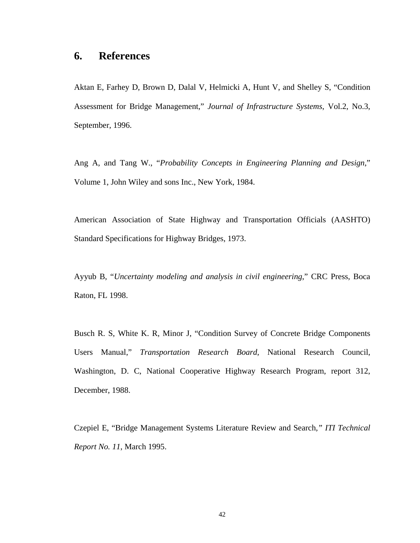### **6. References**

Aktan E, Farhey D, Brown D, Dalal V, Helmicki A, Hunt V, and Shelley S, "Condition Assessment for Bridge Management," *Journal of Infrastructure Systems*, Vol.2, No.3, September, 1996.

Ang A, and Tang W., "*Probability Concepts in Engineering Planning and Design*," Volume 1, John Wiley and sons Inc., New York, 1984.

American Association of State Highway and Transportation Officials (AASHTO) Standard Specifications for Highway Bridges, 1973.

Ayyub B, "*Uncertainty modeling and analysis in civil engineering*," CRC Press, Boca Raton, FL 1998.

Busch R. S, White K. R, Minor J, "Condition Survey of Concrete Bridge Components Users Manual," *Transportation Research Board*, National Research Council, Washington, D. C, National Cooperative Highway Research Program, report 312, December, 1988.

Czepiel E, "Bridge Management Systems Literature Review and Search*," ITI Technical Report No. 11*, March 1995.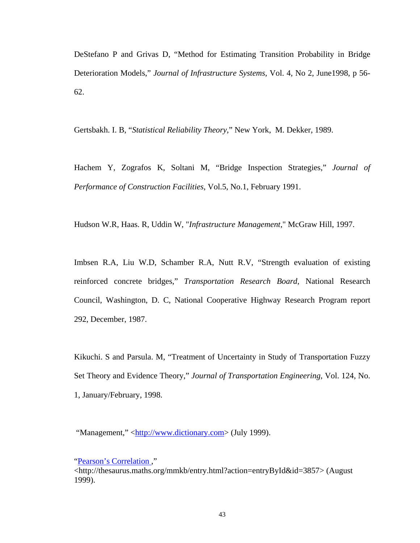DeStefano P and Grivas D, "Method for Estimating Transition Probability in Bridge Deterioration Models," *Journal of Infrastructure Systems*, Vol. 4, No 2, June1998, p 56- 62.

Gertsbakh. I. B, "*Statistical Reliability Theory*," New York, M. Dekker, 1989.

Hachem Y, Zografos K, Soltani M, "Bridge Inspection Strategies," *Journal of Performance of Construction Facilities*, Vol.5, No.1, February 1991.

Hudson W.R, Haas. R, Uddin W, "*Infrastructure Management*," McGraw Hill, 1997.

Imbsen R.A, Liu W.D, Schamber R.A, Nutt R.V, "Strength evaluation of existing reinforced concrete bridges," *Transportation Research Board*, National Research Council, Washington, D. C, National Cooperative Highway Research Program report 292, December, 1987.

Kikuchi. S and Parsula. M, "Treatment of Uncertainty in Study of Transportation Fuzzy Set Theory and Evidence Theory," *Journal of Transportation Engineering*, Vol. 124, No. 1, January/February, 1998.

"Management," <http://www.dictionary.com> (July 1999).

"Pearson's Correlation ,"

<sup>&</sup>lt;http://thesaurus.maths.org/mmkb/entry.html?action=entryById&id=3857> (August 1999).